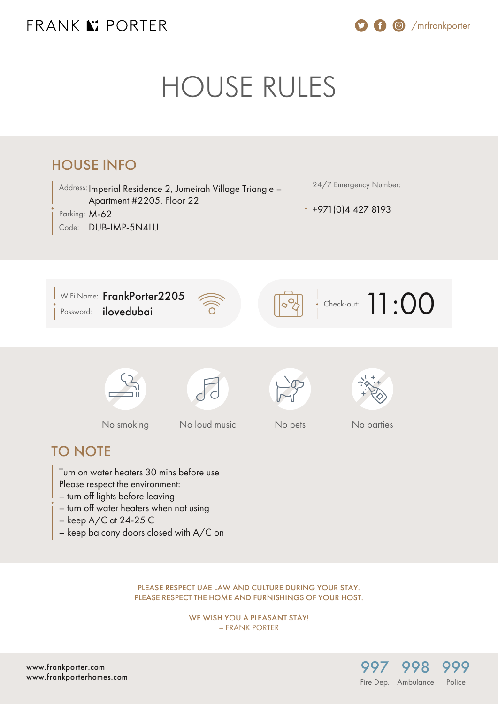## FRANK K PORTER

/mrfrankporter

# HOUSE RULES



PLEASE RESPECT UAE LAW AND CULTURE DURING YOUR STAY. PLEASE RESPECT THE HOME AND FURNISHINGS OF YOUR HOST.

> WE WISH YOU A PLEASANT STAY! – FRANK PORTER

[www.frankporter.com](https://www.frankporter.com) [www.frankporterhomes.com](https://www.frankporterhomes.com)